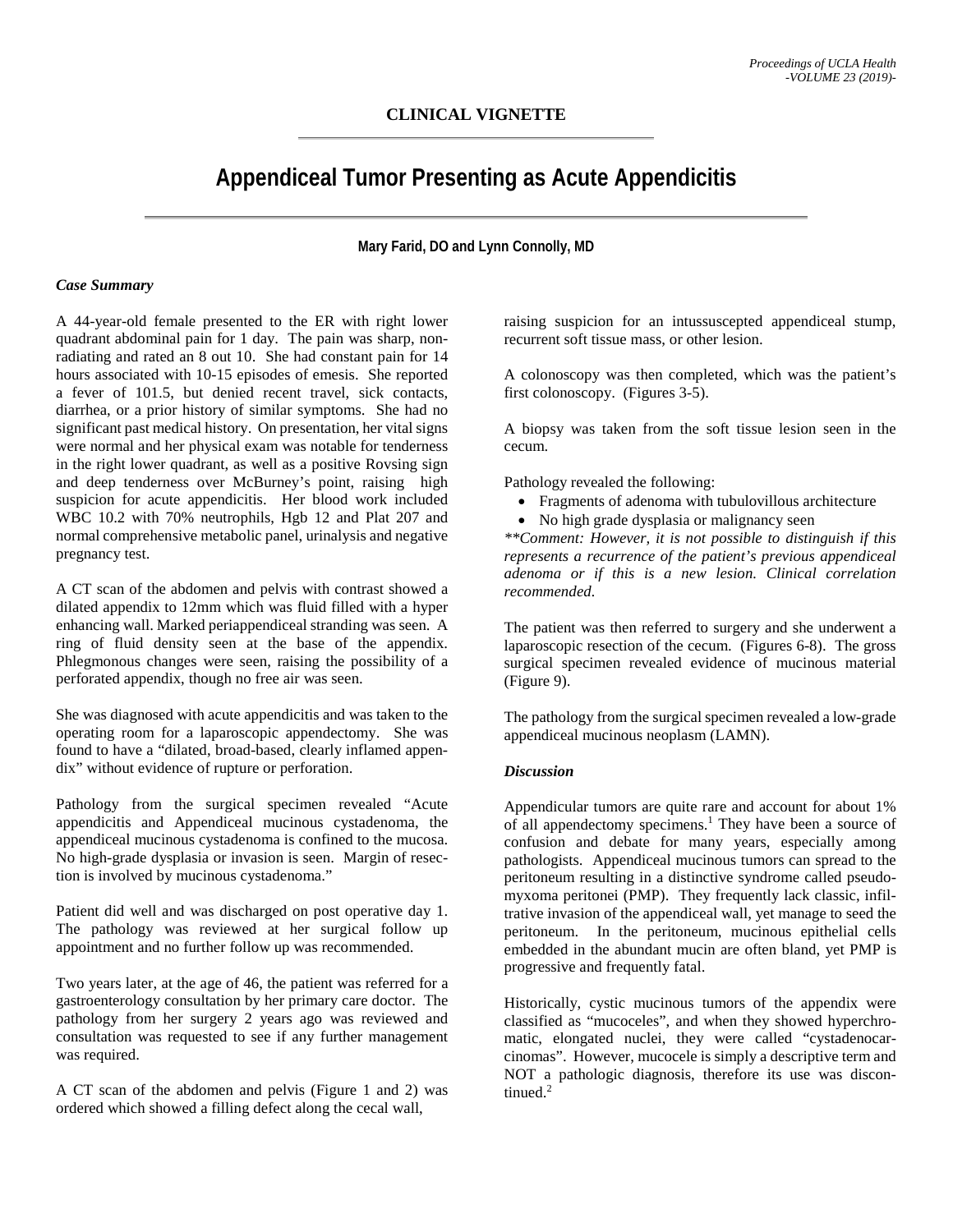# **CLINICAL VIGNETTE**

# **Appendiceal Tumor Presenting as Acute Appendicitis**

**Mary Farid, DO and Lynn Connolly, MD**

## *Case Summary*

A 44-year-old female presented to the ER with right lower quadrant abdominal pain for 1 day. The pain was sharp, nonradiating and rated an 8 out 10. She had constant pain for 14 hours associated with 10-15 episodes of emesis. She reported a fever of 101.5, but denied recent travel, sick contacts, diarrhea, or a prior history of similar symptoms. She had no significant past medical history. On presentation, her vital signs were normal and her physical exam was notable for tenderness in the right lower quadrant, as well as a positive Rovsing sign and deep tenderness over McBurney's point, raising high suspicion for acute appendicitis. Her blood work included WBC 10.2 with 70% neutrophils, Hgb 12 and Plat 207 and normal comprehensive metabolic panel, urinalysis and negative pregnancy test.

A CT scan of the abdomen and pelvis with contrast showed a dilated appendix to 12mm which was fluid filled with a hyper enhancing wall. Marked periappendiceal stranding was seen. A ring of fluid density seen at the base of the appendix. Phlegmonous changes were seen, raising the possibility of a perforated appendix, though no free air was seen.

She was diagnosed with acute appendicitis and was taken to the operating room for a laparoscopic appendectomy. She was found to have a "dilated, broad-based, clearly inflamed appendix" without evidence of rupture or perforation.

Pathology from the surgical specimen revealed "Acute appendicitis and Appendiceal mucinous cystadenoma, the appendiceal mucinous cystadenoma is confined to the mucosa. No high-grade dysplasia or invasion is seen. Margin of resection is involved by mucinous cystadenoma."

Patient did well and was discharged on post operative day 1. The pathology was reviewed at her surgical follow up appointment and no further follow up was recommended.

Two years later, at the age of 46, the patient was referred for a gastroenterology consultation by her primary care doctor. The pathology from her surgery 2 years ago was reviewed and consultation was requested to see if any further management was required.

A CT scan of the abdomen and pelvis (Figure 1 and 2) was ordered which showed a filling defect along the cecal wall,

raising suspicion for an intussuscepted appendiceal stump, recurrent soft tissue mass, or other lesion.

A colonoscopy was then completed, which was the patient's first colonoscopy. (Figures 3-5).

A biopsy was taken from the soft tissue lesion seen in the cecum.

Pathology revealed the following:

- Fragments of adenoma with tubulovillous architecture
- No high grade dysplasia or malignancy seen

*\*\*Comment: However, it is not possible to distinguish if this represents a recurrence of the patient's previous appendiceal adenoma or if this is a new lesion. Clinical correlation recommended.*

The patient was then referred to surgery and she underwent a laparoscopic resection of the cecum. (Figures 6-8). The gross surgical specimen revealed evidence of mucinous material (Figure 9).

The pathology from the surgical specimen revealed a low-grade appendiceal mucinous neoplasm (LAMN).

# *Discussion*

Appendicular tumors are quite rare and account for about 1% of all appendectomy specimens.<sup>1</sup> They have been a source of confusion and debate for many years, especially among pathologists. Appendiceal mucinous tumors can spread to the peritoneum resulting in a distinctive syndrome called pseudomyxoma peritonei (PMP). They frequently lack classic, infiltrative invasion of the appendiceal wall, yet manage to seed the peritoneum. In the peritoneum, mucinous epithelial cells embedded in the abundant mucin are often bland, yet PMP is progressive and frequently fatal.

Historically, cystic mucinous tumors of the appendix were classified as "mucoceles", and when they showed hyperchromatic, elongated nuclei, they were called "cystadenocarcinomas". However, mucocele is simply a descriptive term and NOT a pathologic diagnosis, therefore its use was discontinued.<sup>2</sup>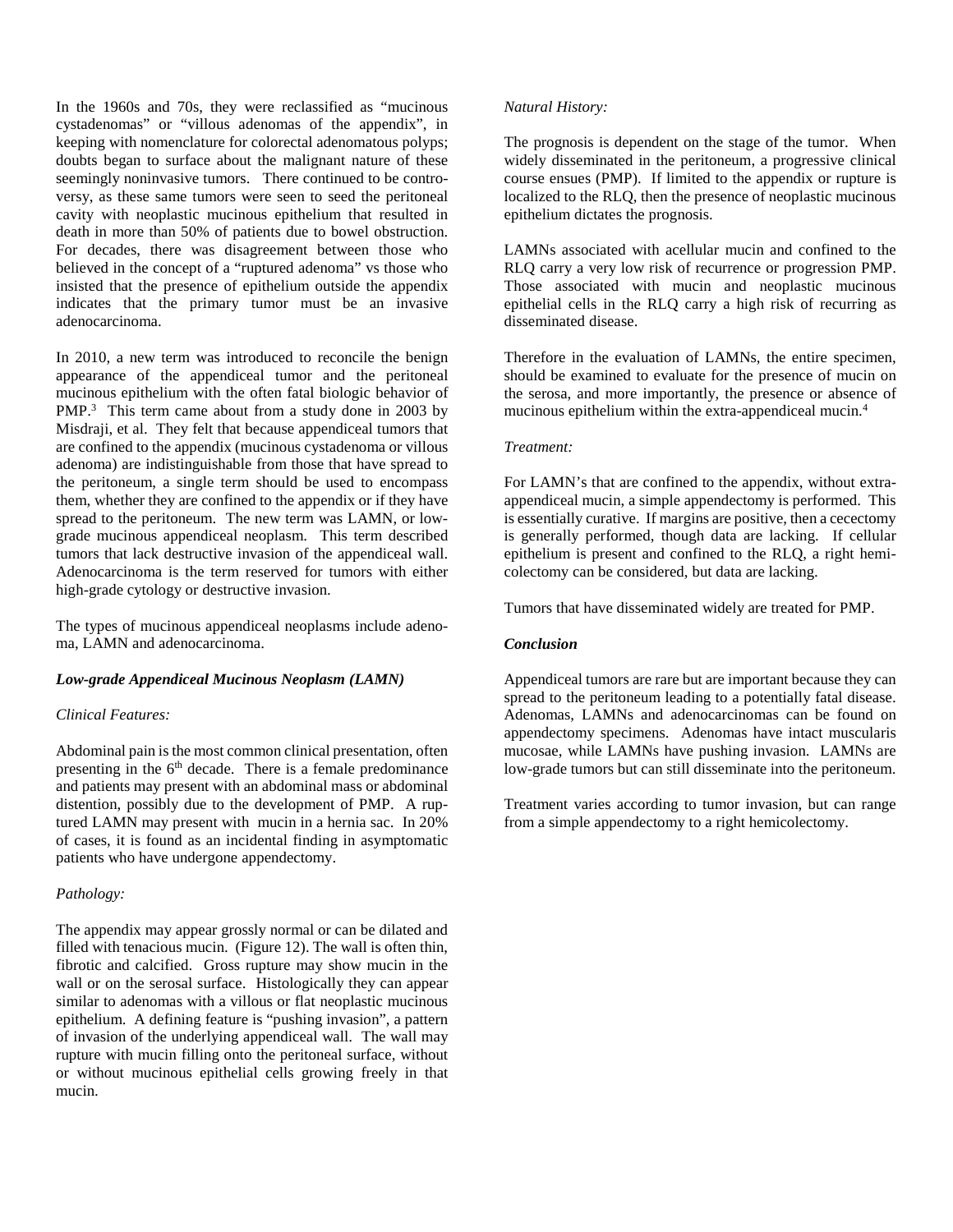In the 1960s and 70s, they were reclassified as "mucinous cystadenomas" or "villous adenomas of the appendix", in keeping with nomenclature for colorectal adenomatous polyps; doubts began to surface about the malignant nature of these seemingly noninvasive tumors. There continued to be controversy, as these same tumors were seen to seed the peritoneal cavity with neoplastic mucinous epithelium that resulted in death in more than 50% of patients due to bowel obstruction. For decades, there was disagreement between those who believed in the concept of a "ruptured adenoma" vs those who insisted that the presence of epithelium outside the appendix indicates that the primary tumor must be an invasive adenocarcinoma.

In 2010, a new term was introduced to reconcile the benign appearance of the appendiceal tumor and the peritoneal mucinous epithelium with the often fatal biologic behavior of PMP.<sup>3</sup> This term came about from a study done in 2003 by Misdraji, et al. They felt that because appendiceal tumors that are confined to the appendix (mucinous cystadenoma or villous adenoma) are indistinguishable from those that have spread to the peritoneum, a single term should be used to encompass them, whether they are confined to the appendix or if they have spread to the peritoneum. The new term was LAMN, or lowgrade mucinous appendiceal neoplasm. This term described tumors that lack destructive invasion of the appendiceal wall. Adenocarcinoma is the term reserved for tumors with either high-grade cytology or destructive invasion.

The types of mucinous appendiceal neoplasms include adenoma, LAMN and adenocarcinoma.

# *Low-grade Appendiceal Mucinous Neoplasm (LAMN)*

#### *Clinical Features:*

Abdominal pain is the most common clinical presentation, often presenting in the  $6<sup>th</sup>$  decade. There is a female predominance and patients may present with an abdominal mass or abdominal distention, possibly due to the development of PMP. A ruptured LAMN may present with mucin in a hernia sac. In 20% of cases, it is found as an incidental finding in asymptomatic patients who have undergone appendectomy.

#### *Pathology:*

The appendix may appear grossly normal or can be dilated and filled with tenacious mucin. (Figure 12). The wall is often thin, fibrotic and calcified. Gross rupture may show mucin in the wall or on the serosal surface. Histologically they can appear similar to adenomas with a villous or flat neoplastic mucinous epithelium. A defining feature is "pushing invasion", a pattern of invasion of the underlying appendiceal wall. The wall may rupture with mucin filling onto the peritoneal surface, without or without mucinous epithelial cells growing freely in that mucin.

## *Natural History:*

The prognosis is dependent on the stage of the tumor. When widely disseminated in the peritoneum, a progressive clinical course ensues (PMP). If limited to the appendix or rupture is localized to the RLQ, then the presence of neoplastic mucinous epithelium dictates the prognosis.

LAMNs associated with acellular mucin and confined to the RLQ carry a very low risk of recurrence or progression PMP. Those associated with mucin and neoplastic mucinous epithelial cells in the RLQ carry a high risk of recurring as disseminated disease.

Therefore in the evaluation of LAMNs, the entire specimen, should be examined to evaluate for the presence of mucin on the serosa, and more importantly, the presence or absence of mucinous epithelium within the extra-appendiceal mucin.4

#### *Treatment:*

For LAMN's that are confined to the appendix, without extraappendiceal mucin, a simple appendectomy is performed. This is essentially curative. If margins are positive, then a cecectomy is generally performed, though data are lacking. If cellular epithelium is present and confined to the RLQ, a right hemicolectomy can be considered, but data are lacking.

Tumors that have disseminated widely are treated for PMP.

#### *Conclusion*

Appendiceal tumors are rare but are important because they can spread to the peritoneum leading to a potentially fatal disease. Adenomas, LAMNs and adenocarcinomas can be found on appendectomy specimens. Adenomas have intact muscularis mucosae, while LAMNs have pushing invasion. LAMNs are low-grade tumors but can still disseminate into the peritoneum.

Treatment varies according to tumor invasion, but can range from a simple appendectomy to a right hemicolectomy.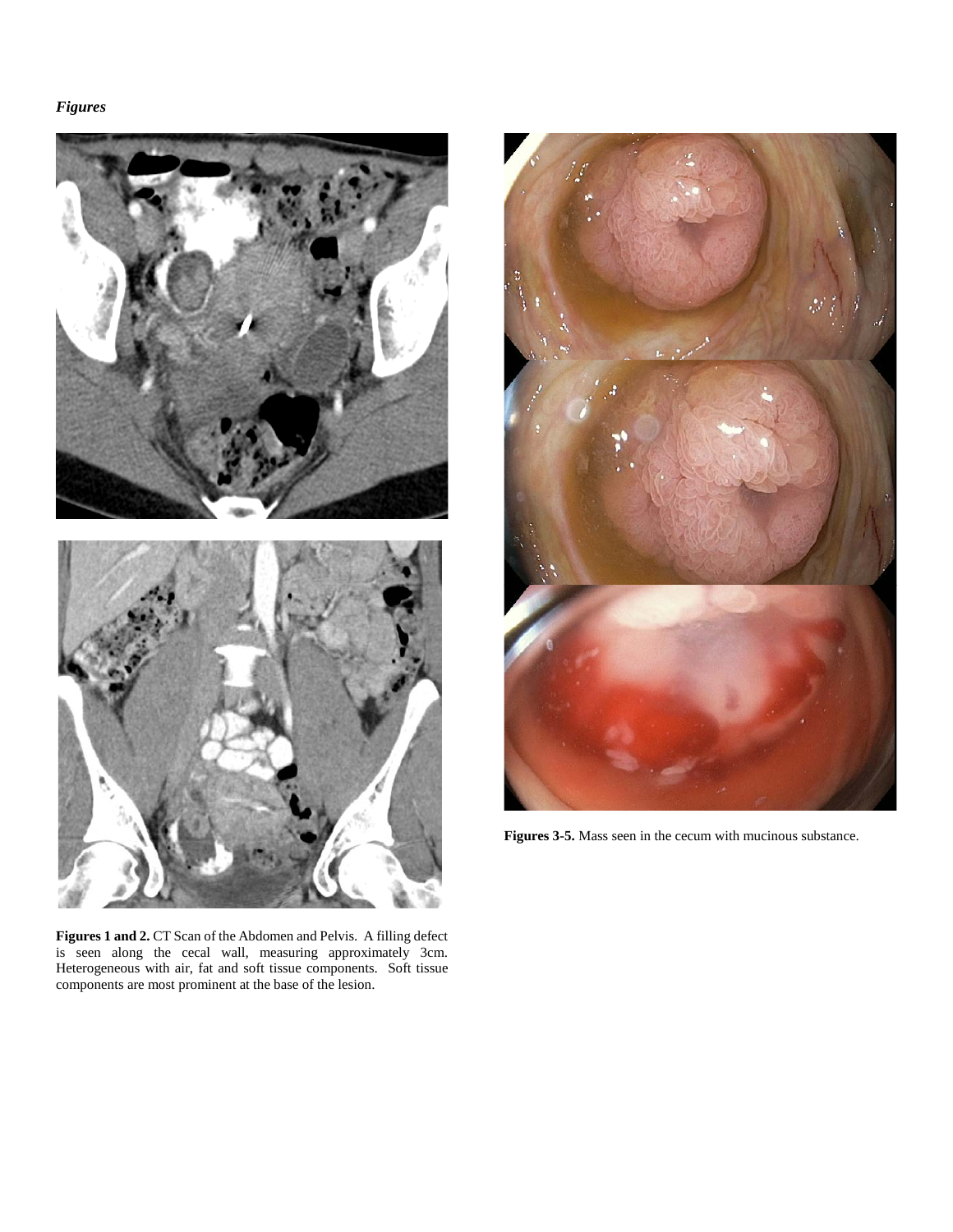# *Figures*



**Figures 1 and 2.** CT Scan of the Abdomen and Pelvis. A filling defect is seen along the cecal wall, measuring approximately 3cm. Heterogeneous with air, fat and soft tissue components. Soft tissue components are most prominent at the base of the lesion.



**Figures 3-5.** Mass seen in the cecum with mucinous substance.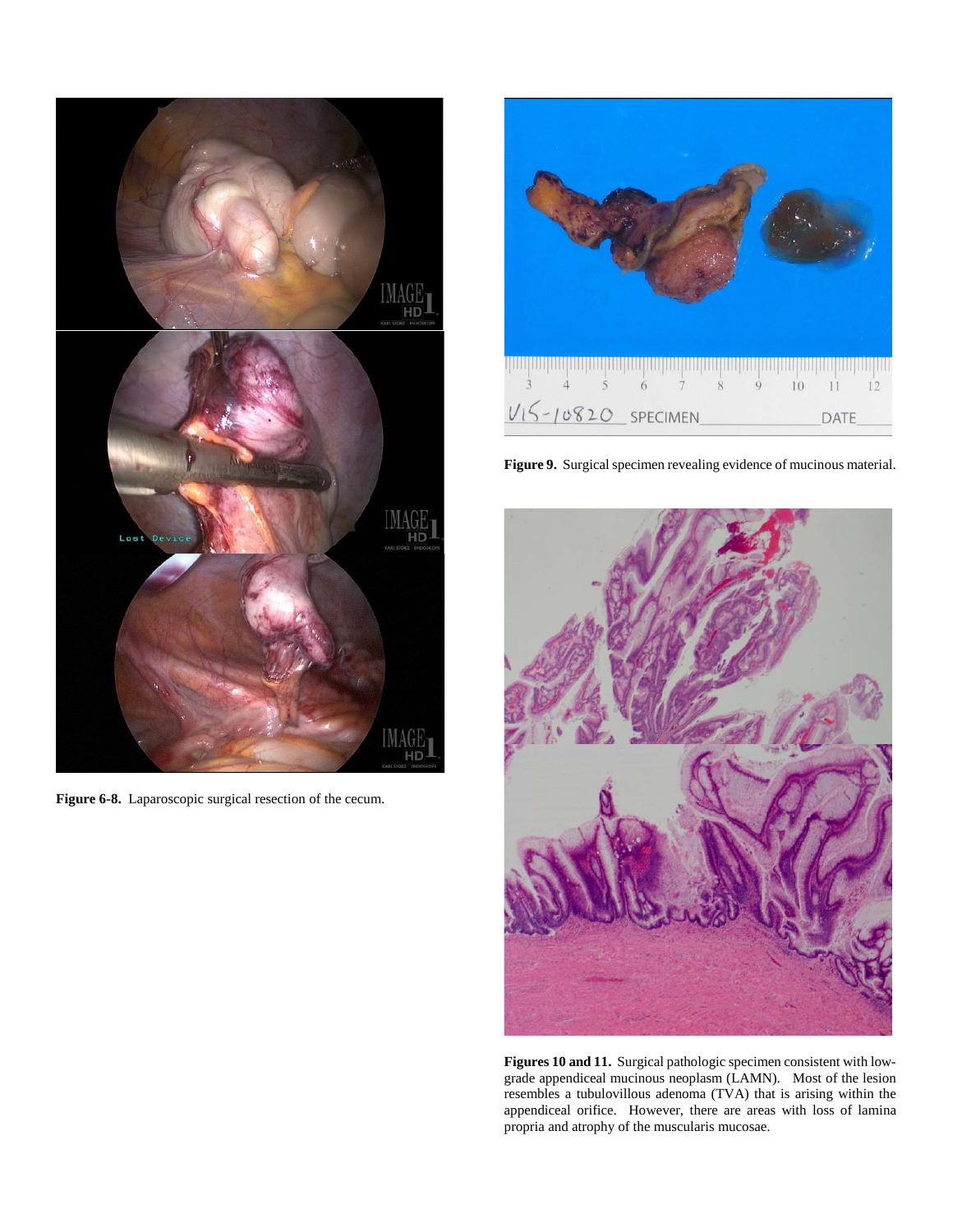

**Figure 6-8.** Laparoscopic surgical resection of the cecum.



**Figure 9.** Surgical specimen revealing evidence of mucinous material.



**Figures 10 and 11.** Surgical pathologic specimen consistent with lowgrade appendiceal mucinous neoplasm (LAMN). Most of the lesion resembles a tubulovillous adenoma (TVA) that is arising within the appendiceal orifice. However, there are areas with loss of lamina propria and atrophy of the muscularis mucosae.